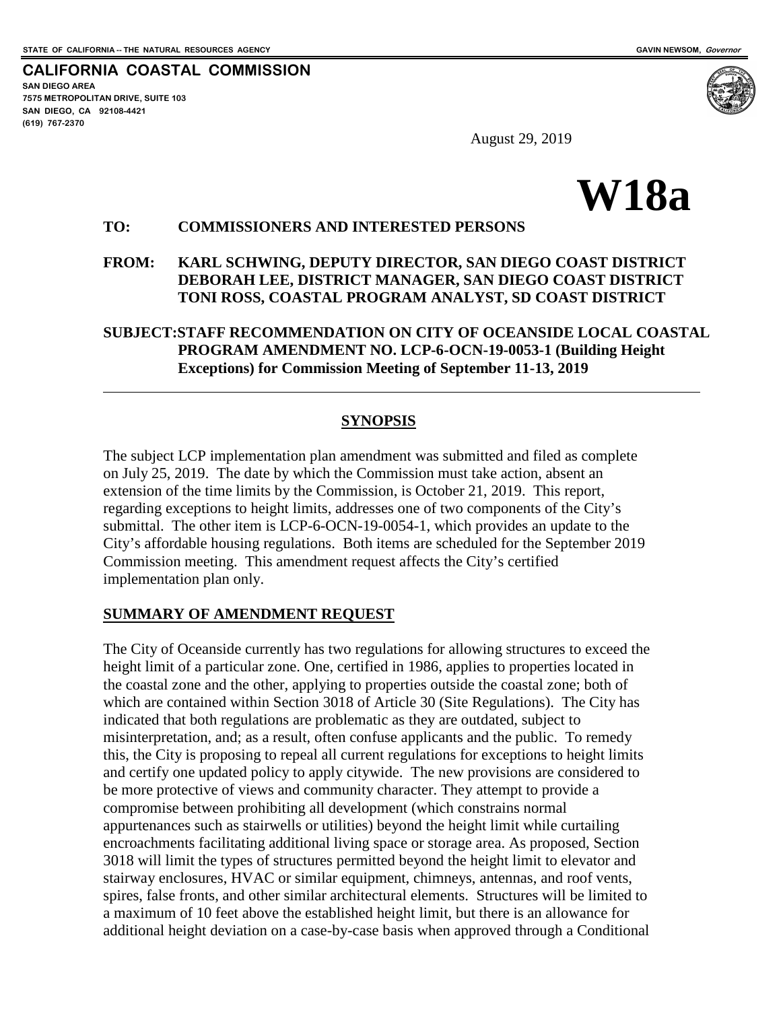**CALIFORNIA COASTAL COMMISSION SAN DIEGO AREA 7575 METROPOLITAN DRIVE, SUITE 103 SAN DIEGO, CA 92108-4421 (619) 767-2370**



August 29, 2019

# **W18a**

## **TO: COMMISSIONERS AND INTERESTED PERSONS**

#### **FROM: KARL SCHWING, DEPUTY DIRECTOR, SAN DIEGO COAST DISTRICT DEBORAH LEE, DISTRICT MANAGER, SAN DIEGO COAST DISTRICT TONI ROSS, COASTAL PROGRAM ANALYST, SD COAST DISTRICT**

## **SUBJECT:STAFF RECOMMENDATION ON CITY OF OCEANSIDE LOCAL COASTAL PROGRAM AMENDMENT NO. LCP-6-OCN-19-0053-1 (Building Height Exceptions) for Commission Meeting of September 11-13, 2019**

## **SYNOPSIS**

The subject LCP implementation plan amendment was submitted and filed as complete on July 25, 2019. The date by which the Commission must take action, absent an extension of the time limits by the Commission, is October 21, 2019. This report, regarding exceptions to height limits, addresses one of two components of the City's submittal. The other item is LCP-6-OCN-19-0054-1, which provides an update to the City's affordable housing regulations. Both items are scheduled for the September 2019 Commission meeting. This amendment request affects the City's certified implementation plan only.

#### **SUMMARY OF AMENDMENT REQUEST**

The City of Oceanside currently has two regulations for allowing structures to exceed the height limit of a particular zone. One, certified in 1986, applies to properties located in the coastal zone and the other, applying to properties outside the coastal zone; both of which are contained within Section 3018 of Article 30 (Site Regulations). The City has indicated that both regulations are problematic as they are outdated, subject to misinterpretation, and; as a result, often confuse applicants and the public. To remedy this, the City is proposing to repeal all current regulations for exceptions to height limits and certify one updated policy to apply citywide. The new provisions are considered to be more protective of views and community character. They attempt to provide a compromise between prohibiting all development (which constrains normal appurtenances such as stairwells or utilities) beyond the height limit while curtailing encroachments facilitating additional living space or storage area. As proposed, Section 3018 will limit the types of structures permitted beyond the height limit to elevator and stairway enclosures, HVAC or similar equipment, chimneys, antennas, and roof vents, spires, false fronts, and other similar architectural elements. Structures will be limited to a maximum of 10 feet above the established height limit, but there is an allowance for additional height deviation on a case-by-case basis when approved through a Conditional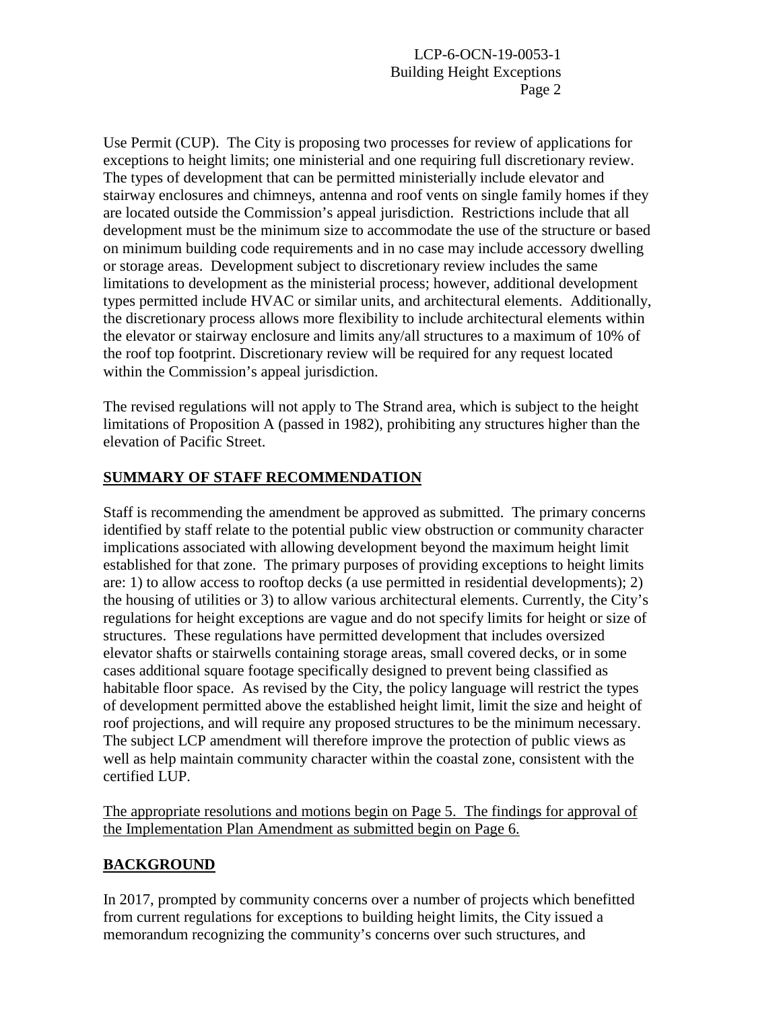Use Permit (CUP). The City is proposing two processes for review of applications for exceptions to height limits; one ministerial and one requiring full discretionary review. The types of development that can be permitted ministerially include elevator and stairway enclosures and chimneys, antenna and roof vents on single family homes if they are located outside the Commission's appeal jurisdiction. Restrictions include that all development must be the minimum size to accommodate the use of the structure or based on minimum building code requirements and in no case may include accessory dwelling or storage areas. Development subject to discretionary review includes the same limitations to development as the ministerial process; however, additional development types permitted include HVAC or similar units, and architectural elements. Additionally, the discretionary process allows more flexibility to include architectural elements within the elevator or stairway enclosure and limits any/all structures to a maximum of 10% of the roof top footprint. Discretionary review will be required for any request located within the Commission's appeal jurisdiction.

The revised regulations will not apply to The Strand area, which is subject to the height limitations of Proposition A (passed in 1982), prohibiting any structures higher than the elevation of Pacific Street.

## **SUMMARY OF STAFF RECOMMENDATION**

Staff is recommending the amendment be approved as submitted. The primary concerns identified by staff relate to the potential public view obstruction or community character implications associated with allowing development beyond the maximum height limit established for that zone. The primary purposes of providing exceptions to height limits are: 1) to allow access to rooftop decks (a use permitted in residential developments); 2) the housing of utilities or 3) to allow various architectural elements. Currently, the City's regulations for height exceptions are vague and do not specify limits for height or size of structures. These regulations have permitted development that includes oversized elevator shafts or stairwells containing storage areas, small covered decks, or in some cases additional square footage specifically designed to prevent being classified as habitable floor space. As revised by the City, the policy language will restrict the types of development permitted above the established height limit, limit the size and height of roof projections, and will require any proposed structures to be the minimum necessary. The subject LCP amendment will therefore improve the protection of public views as well as help maintain community character within the coastal zone, consistent with the certified LUP.

The appropriate resolutions and motions begin on Page 5. The findings for approval of the Implementation Plan Amendment as submitted begin on Page 6.

## **BACKGROUND**

In 2017, prompted by community concerns over a number of projects which benefitted from current regulations for exceptions to building height limits, the City issued a memorandum recognizing the community's concerns over such structures, and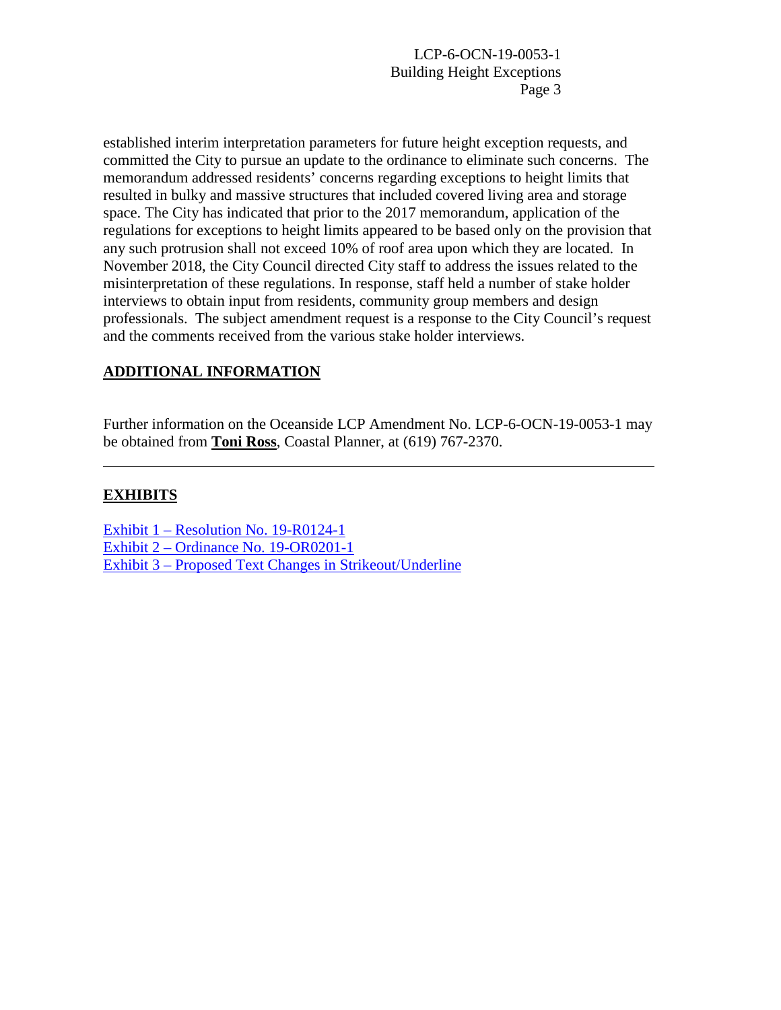established interim interpretation parameters for future height exception requests, and committed the City to pursue an update to the ordinance to eliminate such concerns. The memorandum addressed residents' concerns regarding exceptions to height limits that resulted in bulky and massive structures that included covered living area and storage space. The City has indicated that prior to the 2017 memorandum, application of the regulations for exceptions to height limits appeared to be based only on the provision that any such protrusion shall not exceed 10% of roof area upon which they are located. In November 2018, the City Council directed City staff to address the issues related to the misinterpretation of these regulations. In response, staff held a number of stake holder interviews to obtain input from residents, community group members and design professionals. The subject amendment request is a response to the City Council's request and the comments received from the various stake holder interviews.

## **ADDITIONAL INFORMATION**

Further information on the Oceanside LCP Amendment No. LCP-6-OCN-19-0053-1 may be obtained from **Toni Ross**, Coastal Planner, at (619) 767-2370.

#### **EXHIBITS**

Exhibit 1 – [Resolution No.](https://documents.coastal.ca.gov/reports/2019/9/w18a/w18a-9-2019-exhibits.pdf) 19-R0124-1 Exhibit 2 – [Ordinance No. 19-OR0201-1](https://documents.coastal.ca.gov/reports/2019/9/w18a/w18a-9-2019-exhibits.pdf) Exhibit 3 – [Proposed Text Changes in Strikeout/Underline](https://documents.coastal.ca.gov/reports/2019/9/w18a/w18a-9-2019-exhibits.pdf)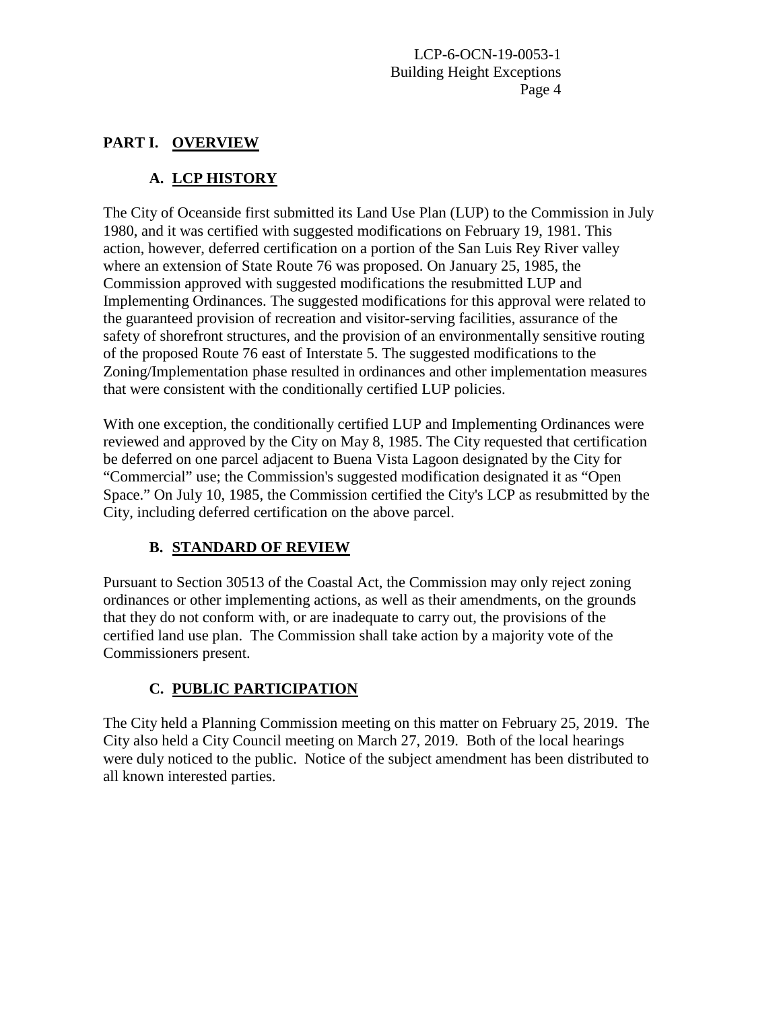## **PART I. OVERVIEW**

# **A. LCP HISTORY**

The City of Oceanside first submitted its Land Use Plan (LUP) to the Commission in July 1980, and it was certified with suggested modifications on February 19, 1981. This action, however, deferred certification on a portion of the San Luis Rey River valley where an extension of State Route 76 was proposed. On January 25, 1985, the Commission approved with suggested modifications the resubmitted LUP and Implementing Ordinances. The suggested modifications for this approval were related to the guaranteed provision of recreation and visitor-serving facilities, assurance of the safety of shorefront structures, and the provision of an environmentally sensitive routing of the proposed Route 76 east of Interstate 5. The suggested modifications to the Zoning/Implementation phase resulted in ordinances and other implementation measures that were consistent with the conditionally certified LUP policies.

With one exception, the conditionally certified LUP and Implementing Ordinances were reviewed and approved by the City on May 8, 1985. The City requested that certification be deferred on one parcel adjacent to Buena Vista Lagoon designated by the City for "Commercial" use; the Commission's suggested modification designated it as "Open Space." On July 10, 1985, the Commission certified the City's LCP as resubmitted by the City, including deferred certification on the above parcel.

# **B. STANDARD OF REVIEW**

Pursuant to Section 30513 of the Coastal Act, the Commission may only reject zoning ordinances or other implementing actions, as well as their amendments, on the grounds that they do not conform with, or are inadequate to carry out, the provisions of the certified land use plan. The Commission shall take action by a majority vote of the Commissioners present.

# **C. PUBLIC PARTICIPATION**

The City held a Planning Commission meeting on this matter on February 25, 2019. The City also held a City Council meeting on March 27, 2019. Both of the local hearings were duly noticed to the public. Notice of the subject amendment has been distributed to all known interested parties.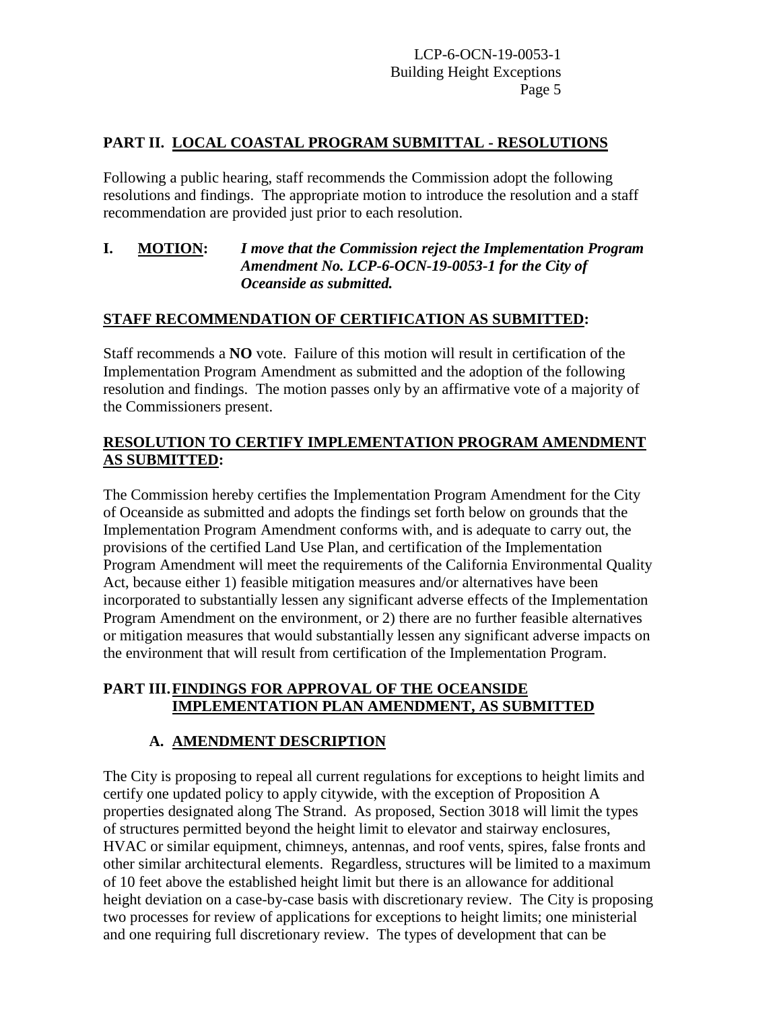## **PART II. LOCAL COASTAL PROGRAM SUBMITTAL - RESOLUTIONS**

Following a public hearing, staff recommends the Commission adopt the following resolutions and findings. The appropriate motion to introduce the resolution and a staff recommendation are provided just prior to each resolution.

## **I. MOTION:** *I move that the Commission reject the Implementation Program Amendment No. LCP-6-OCN-19-0053-1 for the City of Oceanside as submitted.*

## **STAFF RECOMMENDATION OF CERTIFICATION AS SUBMITTED:**

Staff recommends a **NO** vote. Failure of this motion will result in certification of the Implementation Program Amendment as submitted and the adoption of the following resolution and findings. The motion passes only by an affirmative vote of a majority of the Commissioners present.

## **RESOLUTION TO CERTIFY IMPLEMENTATION PROGRAM AMENDMENT AS SUBMITTED:**

The Commission hereby certifies the Implementation Program Amendment for the City of Oceanside as submitted and adopts the findings set forth below on grounds that the Implementation Program Amendment conforms with, and is adequate to carry out, the provisions of the certified Land Use Plan, and certification of the Implementation Program Amendment will meet the requirements of the California Environmental Quality Act, because either 1) feasible mitigation measures and/or alternatives have been incorporated to substantially lessen any significant adverse effects of the Implementation Program Amendment on the environment, or 2) there are no further feasible alternatives or mitigation measures that would substantially lessen any significant adverse impacts on the environment that will result from certification of the Implementation Program.

## **PART III.FINDINGS FOR APPROVAL OF THE OCEANSIDE IMPLEMENTATION PLAN AMENDMENT, AS SUBMITTED**

# **A. AMENDMENT DESCRIPTION**

The City is proposing to repeal all current regulations for exceptions to height limits and certify one updated policy to apply citywide, with the exception of Proposition A properties designated along The Strand. As proposed, Section 3018 will limit the types of structures permitted beyond the height limit to elevator and stairway enclosures, HVAC or similar equipment, chimneys, antennas, and roof vents, spires, false fronts and other similar architectural elements. Regardless, structures will be limited to a maximum of 10 feet above the established height limit but there is an allowance for additional height deviation on a case-by-case basis with discretionary review. The City is proposing two processes for review of applications for exceptions to height limits; one ministerial and one requiring full discretionary review. The types of development that can be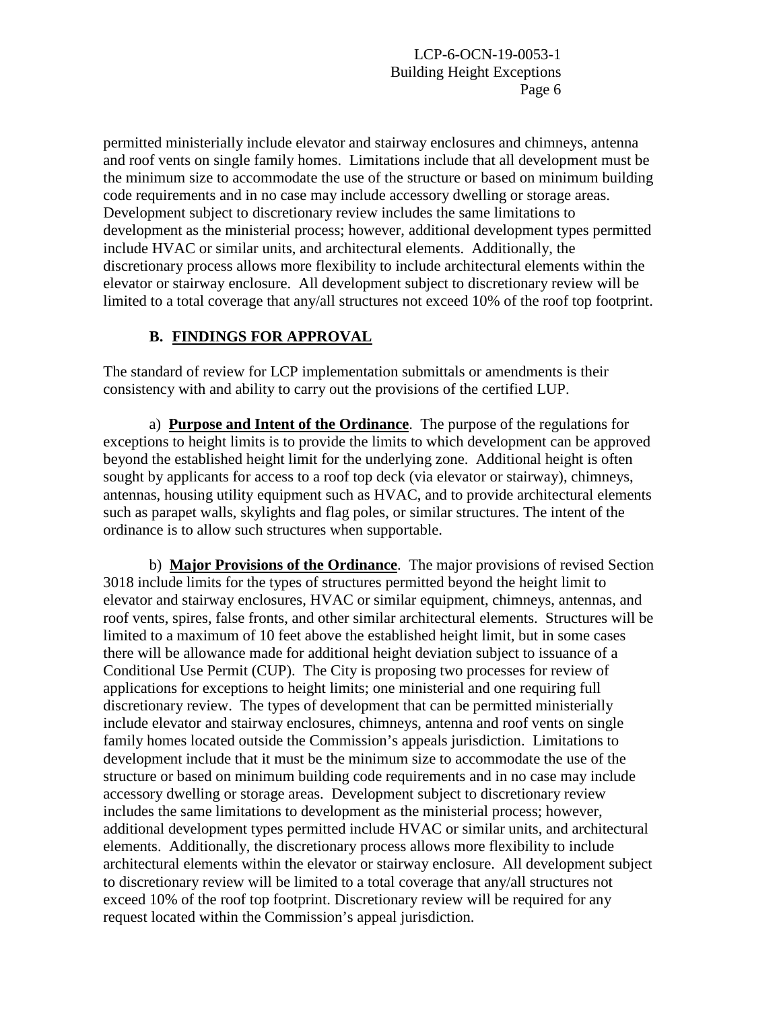permitted ministerially include elevator and stairway enclosures and chimneys, antenna and roof vents on single family homes. Limitations include that all development must be the minimum size to accommodate the use of the structure or based on minimum building code requirements and in no case may include accessory dwelling or storage areas. Development subject to discretionary review includes the same limitations to development as the ministerial process; however, additional development types permitted include HVAC or similar units, and architectural elements. Additionally, the discretionary process allows more flexibility to include architectural elements within the elevator or stairway enclosure. All development subject to discretionary review will be limited to a total coverage that any/all structures not exceed 10% of the roof top footprint.

# **B. FINDINGS FOR APPROVAL**

The standard of review for LCP implementation submittals or amendments is their consistency with and ability to carry out the provisions of the certified LUP.

a) **Purpose and Intent of the Ordinance**. The purpose of the regulations for exceptions to height limits is to provide the limits to which development can be approved beyond the established height limit for the underlying zone. Additional height is often sought by applicants for access to a roof top deck (via elevator or stairway), chimneys, antennas, housing utility equipment such as HVAC, and to provide architectural elements such as parapet walls, skylights and flag poles, or similar structures. The intent of the ordinance is to allow such structures when supportable.

b) **Major Provisions of the Ordinance**. The major provisions of revised Section 3018 include limits for the types of structures permitted beyond the height limit to elevator and stairway enclosures, HVAC or similar equipment, chimneys, antennas, and roof vents, spires, false fronts, and other similar architectural elements. Structures will be limited to a maximum of 10 feet above the established height limit, but in some cases there will be allowance made for additional height deviation subject to issuance of a Conditional Use Permit (CUP). The City is proposing two processes for review of applications for exceptions to height limits; one ministerial and one requiring full discretionary review. The types of development that can be permitted ministerially include elevator and stairway enclosures, chimneys, antenna and roof vents on single family homes located outside the Commission's appeals jurisdiction. Limitations to development include that it must be the minimum size to accommodate the use of the structure or based on minimum building code requirements and in no case may include accessory dwelling or storage areas. Development subject to discretionary review includes the same limitations to development as the ministerial process; however, additional development types permitted include HVAC or similar units, and architectural elements. Additionally, the discretionary process allows more flexibility to include architectural elements within the elevator or stairway enclosure. All development subject to discretionary review will be limited to a total coverage that any/all structures not exceed 10% of the roof top footprint. Discretionary review will be required for any request located within the Commission's appeal jurisdiction.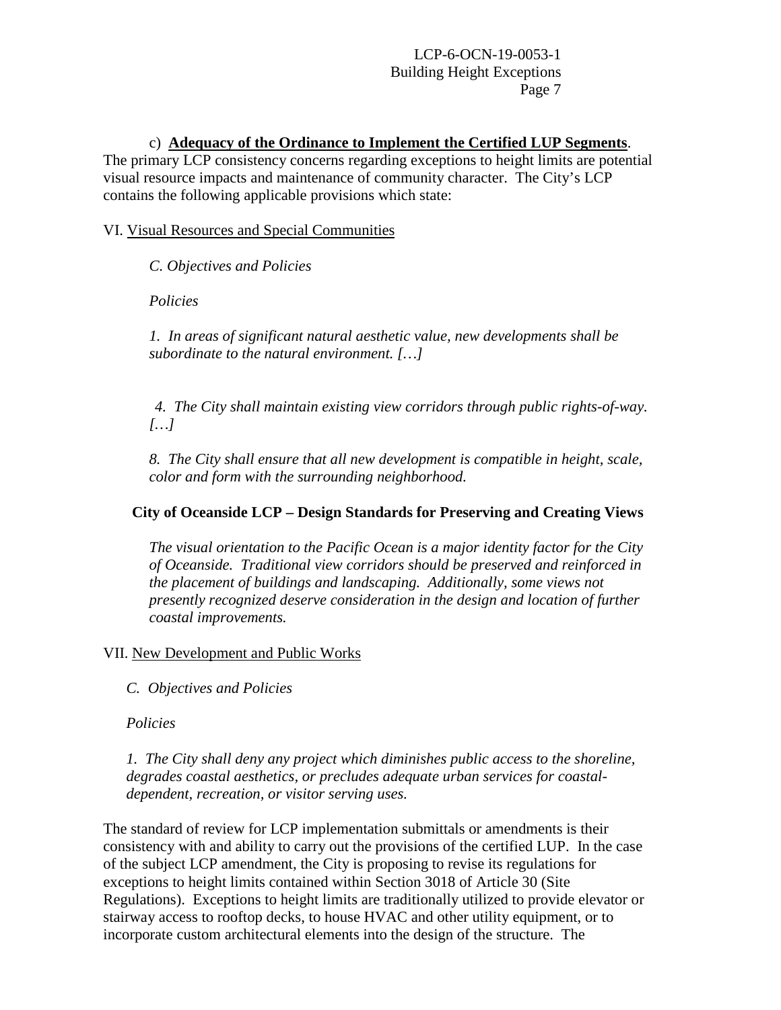#### c) **Adequacy of the Ordinance to Implement the Certified LUP Segments**.

The primary LCP consistency concerns regarding exceptions to height limits are potential visual resource impacts and maintenance of community character. The City's LCP contains the following applicable provisions which state:

#### VI. Visual Resources and Special Communities

*C. Objectives and Policies*

*Policies*

*1. In areas of significant natural aesthetic value, new developments shall be subordinate to the natural environment. […]*

*4. The City shall maintain existing view corridors through public rights-of-way. […]*

*8. The City shall ensure that all new development is compatible in height, scale, color and form with the surrounding neighborhood.*

#### **City of Oceanside LCP – Design Standards for Preserving and Creating Views**

*The visual orientation to the Pacific Ocean is a major identity factor for the City of Oceanside. Traditional view corridors should be preserved and reinforced in the placement of buildings and landscaping. Additionally, some views not presently recognized deserve consideration in the design and location of further coastal improvements.*

#### VII. New Development and Public Works

*C. Objectives and Policies*

*Policies*

*1. The City shall deny any project which diminishes public access to the shoreline, degrades coastal aesthetics, or precludes adequate urban services for coastaldependent, recreation, or visitor serving uses.*

The standard of review for LCP implementation submittals or amendments is their consistency with and ability to carry out the provisions of the certified LUP. In the case of the subject LCP amendment, the City is proposing to revise its regulations for exceptions to height limits contained within Section 3018 of Article 30 (Site Regulations). Exceptions to height limits are traditionally utilized to provide elevator or stairway access to rooftop decks, to house HVAC and other utility equipment, or to incorporate custom architectural elements into the design of the structure. The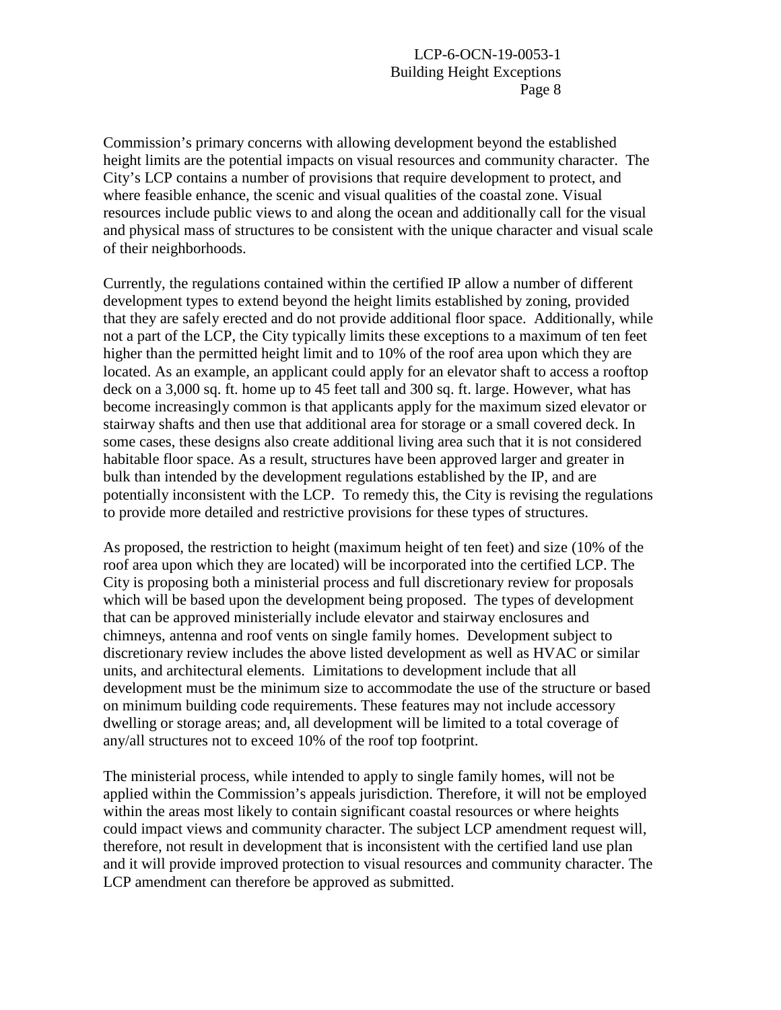Commission's primary concerns with allowing development beyond the established height limits are the potential impacts on visual resources and community character. The City's LCP contains a number of provisions that require development to protect, and where feasible enhance, the scenic and visual qualities of the coastal zone. Visual resources include public views to and along the ocean and additionally call for the visual and physical mass of structures to be consistent with the unique character and visual scale of their neighborhoods.

Currently, the regulations contained within the certified IP allow a number of different development types to extend beyond the height limits established by zoning, provided that they are safely erected and do not provide additional floor space. Additionally, while not a part of the LCP, the City typically limits these exceptions to a maximum of ten feet higher than the permitted height limit and to 10% of the roof area upon which they are located. As an example, an applicant could apply for an elevator shaft to access a rooftop deck on a 3,000 sq. ft. home up to 45 feet tall and 300 sq. ft. large. However, what has become increasingly common is that applicants apply for the maximum sized elevator or stairway shafts and then use that additional area for storage or a small covered deck. In some cases, these designs also create additional living area such that it is not considered habitable floor space. As a result, structures have been approved larger and greater in bulk than intended by the development regulations established by the IP, and are potentially inconsistent with the LCP. To remedy this, the City is revising the regulations to provide more detailed and restrictive provisions for these types of structures.

As proposed, the restriction to height (maximum height of ten feet) and size (10% of the roof area upon which they are located) will be incorporated into the certified LCP. The City is proposing both a ministerial process and full discretionary review for proposals which will be based upon the development being proposed. The types of development that can be approved ministerially include elevator and stairway enclosures and chimneys, antenna and roof vents on single family homes. Development subject to discretionary review includes the above listed development as well as HVAC or similar units, and architectural elements. Limitations to development include that all development must be the minimum size to accommodate the use of the structure or based on minimum building code requirements. These features may not include accessory dwelling or storage areas; and, all development will be limited to a total coverage of any/all structures not to exceed 10% of the roof top footprint.

The ministerial process, while intended to apply to single family homes, will not be applied within the Commission's appeals jurisdiction. Therefore, it will not be employed within the areas most likely to contain significant coastal resources or where heights could impact views and community character. The subject LCP amendment request will, therefore, not result in development that is inconsistent with the certified land use plan and it will provide improved protection to visual resources and community character. The LCP amendment can therefore be approved as submitted.